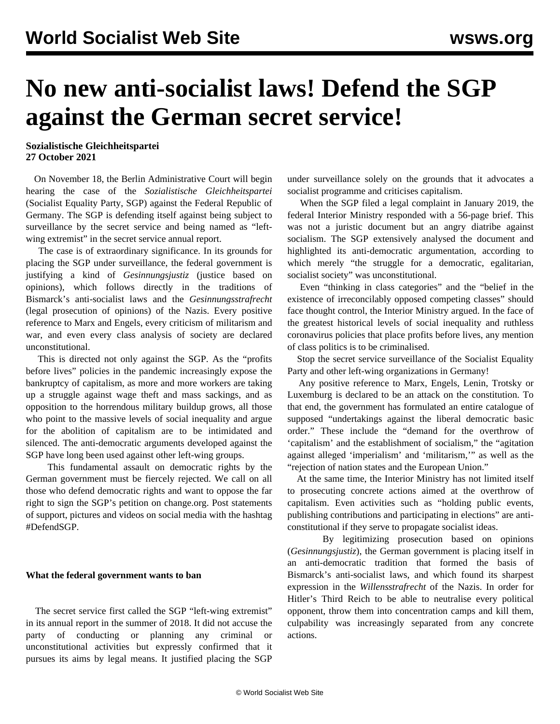## **No new anti-socialist laws! Defend the SGP against the German secret service!**

**Sozialistische Gleichheitspartei 27 October 2021**

 On November 18, the Berlin Administrative Court will begin hearing the case of the *Sozialistische Gleichheitspartei* (Socialist Equality Party, SGP) against the Federal Republic of Germany. The SGP is defending itself against being subject to surveillance by the secret service and being named as "leftwing extremist" in the secret service annual report.

 The case is of extraordinary significance. In its grounds for placing the SGP under surveillance, the federal government is justifying a kind of *Gesinnungsjustiz* (justice based on opinions), which follows directly in the traditions of Bismarck's anti-socialist laws and the *Gesinnungsstrafrecht* (legal prosecution of opinions) of the Nazis. Every positive reference to Marx and Engels, every criticism of militarism and war, and even every class analysis of society are declared unconstitutional.

 This is directed not only against the SGP. As the "profits before lives" policies in the pandemic increasingly expose the bankruptcy of capitalism, as more and more workers are taking up a struggle against wage theft and mass sackings, and as opposition to the horrendous military buildup grows, all those who point to the massive levels of social inequality and argue for the abolition of capitalism are to be intimidated and silenced. The anti-democratic arguments developed against the SGP have long been used against other left-wing groups.

 This fundamental assault on democratic rights by the German government must be fiercely rejected. We call on all those who defend democratic rights and want to oppose the far right to sign the SGP's [petition](https://www.change.org/p/bundesinnenministerium-keine-neuen-sozialistengesetze-stoppt-die-geheimdienstliche-%C3%BCberwachung-der-sgp) on change.org. Post statements of support, pictures and videos on social media with the hashtag #DefendSGP.

## **What the federal government wants to ban**

 The secret service first called the SGP "left-wing extremist" in its annual report in the summer of 2018. It did not accuse the party of conducting or planning any criminal or unconstitutional activities but expressly confirmed that it pursues its aims by legal means. It justified placing the SGP under surveillance solely on the grounds that it advocates a socialist programme and criticises capitalism.

 When the SGP filed a legal complaint in January 2019, the federal Interior Ministry responded with a 56-page brief. This was not a juristic document but an angry diatribe against socialism. The SGP extensively [analysed](/en/articles/2019/07/26/sgps-j26.html) the document and highlighted its anti-democratic argumentation, according to which merely "the struggle for a democratic, egalitarian, socialist society" was unconstitutional.

 Even "thinking in class categories" and the "belief in the existence of irreconcilably opposed competing classes" should face thought control, the Interior Ministry argued. In the face of the greatest historical levels of social inequality and ruthless coronavirus policies that place profits before lives, any mention of class politics is to be criminalised.

 Stop the secret service surveillance of the Socialist Equality Party and other left-wing organizations in Germany!

 Any positive reference to Marx, Engels, Lenin, Trotsky or Luxemburg is declared to be an attack on the constitution. To that end, the government has formulated an entire catalogue of supposed "undertakings against the liberal democratic basic order." These include the "demand for the overthrow of 'capitalism' and the establishment of socialism," the "agitation against alleged 'imperialism' and 'militarism,'" as well as the "rejection of nation states and the European Union."

 At the same time, the Interior Ministry has not limited itself to prosecuting concrete actions aimed at the overthrow of capitalism. Even activities such as "holding public events, publishing contributions and participating in elections" are anticonstitutional if they serve to propagate socialist ideas.

 By legitimizing prosecution based on opinions (*Gesinnungsjustiz*), the German government is placing itself in an anti-democratic tradition that formed the basis of Bismarck's anti-socialist laws, and which found its sharpest expression in the *Willensstrafrecht* of the Nazis. In order for Hitler's Third Reich to be able to neutralise every political opponent, throw them into concentration camps and kill them, culpability was increasingly separated from any concrete actions.